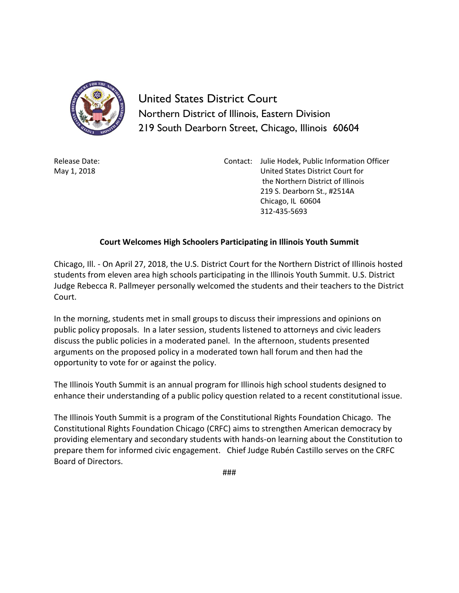

United States District Court Northern District of Illinois, Eastern Division 219 South Dearborn Street, Chicago, Illinois 60604

Release Date: May 1, 2018

Contact: Julie Hodek, Public Information Officer United States District Court for the Northern District of Illinois 219 S. Dearborn St., #2514A Chicago, IL 60604 312-435-5693

## **Court Welcomes High Schoolers Participating in Illinois Youth Summit**

Chicago, Ill. - On April 27, 2018, the U.S. District Court for the Northern District of Illinois hosted students from eleven area high schools participating in the Illinois Youth Summit. U.S. District Judge Rebecca R. Pallmeyer personally welcomed the students and their teachers to the District Court.

In the morning, students met in small groups to discuss their impressions and opinions on public policy proposals. In a later session, students listened to attorneys and civic leaders discuss the public policies in a moderated panel. In the afternoon, students presented arguments on the proposed policy in a moderated town hall forum and then had the opportunity to vote for or against the policy.

The Illinois Youth Summit is an annual program for Illinois high school students designed to enhance their understanding of a public policy question related to a recent constitutional issue.

The Illinois Youth Summit is a program of the Constitutional Rights Foundation Chicago. The Constitutional Rights Foundation Chicago (CRFC) aims to strengthen American democracy by providing elementary and secondary students with hands-on learning about the Constitution to prepare them for informed civic engagement. Chief Judge Rubén Castillo serves on the CRFC Board of Directors.

###